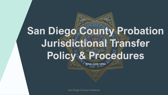# **San Diego County Probation Jurisdictional Transfer Policy & Procedures**

**PENAL CODE 1203.9**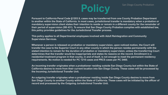## **Policy**

**Pursuant to California Penal Code §1203.9, cases may be transferred from one County Probation Department to another within the State of California. In most cases, jurisdictional transfer is mandatory when a probation or mandatory supervision client states their intention to reside or remain in a different county for the remainder of their period of supervision (SB 431). To ensure that San Diego County Probation complies with established law, this policy provides guidelines for the Jurisdictional Transfer process.**

**This policy applies to all Departmental employees involved with Adult Reintegration and Community Supervision Services.**

**Whenever a person is released on probation or mandatory supervision, upon noticed motion, the Court will transfer the case to the Superior Court in any other county in which the person resides permanently with the stated intention to remain for the duration of probation or mandatory supervision, unless the transferring Court determines that the transfer would be inappropriate and states its reasons on the record. Enrollment in a residential treatment program in that county, in and of itself, is not enough to meet the permanent residency requirements. No motion is needed for PC 1210 cases and PRCS cases per PC 3460.** 

**An incoming transfer originates when a probationer residing outside San Diego County but within the State of California desires to move from their current location into San Diego County. These cases will be processed by the Incoming Jurisdictional Transfer Unit.**

**An outgoing transfer originates when a probationer residing inside San Diego County desires to move from San Diego County to another County within the State of California. These cases will be initiated by the officer of record and processed by the Outgoing Jurisdictional Transfer Unit.**

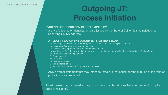## **Outgoing JT: Process Initiation**

### **EVIDENCE OF RESIDENCY IS DETERMINED BY:**

• A driver's license or identification card issued by the State of California that includes the Receiving County address

#### • **AT LEAST TWO OF THE DOCUMENTS LISTED BELOW:**

- a) Voter registration documents showing address where defendant is registered to vote
- b) Homeowner's property tax exemption filing
- c) Copy of rental agreement or proof of home ownership
- d) Verification of residency from the person whose home the defendant will reside (third party verification form)
- e) Proof/verification of employment
- **Credit card bill**
- g) Utility bills
- h) Insurance papers
- i) Vehicle registration
- Any official document verifying name and address
- AND a verbal statement that they intend to remain in that county for the duration of the term of probation is also required.

Travel passes may be issued to the probationer on a discretionary basis as needed to acquire proof of residency.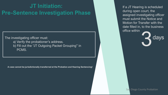### **JT Initiation: Pre-Sentence Investigation Phase**

The investigating officer must: a) Verify the probationer's address. b) Fill out the "JT Outgoing Packet Grouping" in PCMS.



**San Diego County Probation** 

If a JT Hearing is scheduled during open court, the assigned investigating officer must submit the Notice and Motion for Transfer with the date filled in, to the business office within

**A case cannot be jurisdictionally transferred at the Probation and Hearing Sentencing!**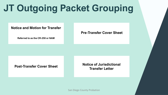## **JT Outgoing Packet Grouping**

### **Notice and Motion for Transfer**

**Referred to as the CR-250 or NAM**

**Post-Transfer Cover Sheet Notice of Jurisdictional Transfer Letter**

**Pre-Transfer Cover Sheet**



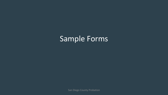### Sample Forms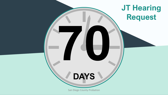## **DAYS**

### **JT Hearing Request**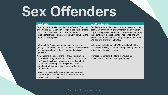# **Sex Offenders**

| Investigator                                                                                                                                                                                                                                                                                   | <b>Sex Offender Unit</b>                                                                                                                            |
|------------------------------------------------------------------------------------------------------------------------------------------------------------------------------------------------------------------------------------------------------------------------------------------------|-----------------------------------------------------------------------------------------------------------------------------------------------------|
| Emailing the supervisors of the Sex Offender (SO) Unit<br>and Outgoing JT Unit upon receipt of the case advising<br>both units of the case's dual sex offender and<br>jurisdictional transfer status, respectively, as well as the<br>future JT hearing date.                                  | Sending a letter to<br>police/law enforcer<br>city that the probat<br>the agencies of the<br><b>Registration Status</b><br><b>SO Reg and Transf</b> |
| Filling out the Notice and Motion for Transfer and<br>getting it stamped by the court within 3 business days of<br>the sentencing hearing if a JT hearing date is set in<br>open court.                                                                                                        | Entering a contact<br>probationer is living<br>jurisdictional transf                                                                                |
| Admonishing the client of their PC290 Registration<br>requirement using the 8047 form in the California Sex<br>and Arson Registration database and verifying that<br>registration was completed. Registration must be<br>completed within 5 business days after their initial<br>admonishment. | Immediately sendir<br><b>Jurisdictional Trans</b>                                                                                                   |
| Processing the specific case with expediency and<br>transferring the case file to the supervisor of the SO<br>Unit as soon as possible.                                                                                                                                                        |                                                                                                                                                     |



to the Chief Probation Officer and the cement department in the destination bationer will be transferring to, advising the probationer's residence and SO Itus in their county using the "JT Letter ansfer" in PCMS.

act note in PCMS indicating that the ving out of the county pending the future insfer hearing.

Iding the file to the Outgoing ransfer Unit for processing.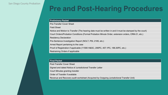### **Pre and Post-Hearing Procedures**

#### **Preliminary Packet**

Pre-Transfer Cover Sheet

Field Sheet

Notice and Motion to Transfer (The hearing date must be written in and it must be stamped by the court) Court Orders/Probation Conditions (Formal Probation Minute Order, extension orders, CRM-21, etc.)

Residency Declaration

Pre-Sentence Investigation Report (NOLT, PSI, 2185, etc.)

Arrest Report pertaining to the case

Proof of Registration if applicable (11590 H&SC, 290PC, 457.1PC, 186.30PC, etc.)

Restraining Orders if applicable

#### **Final Packet**

Post-Transfer Cover Sheet Signed and dated Notice of Jurisdictional Transfer Letter Court Minutes granting transfer Order of Transfer if available

Revenue and Recovery audit worksheet (Acquired by Outgoing Jurisdictional Transfer Unit)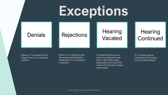# **Exceptions**

### Denials Rejections Hearing

# Vacated

### A vacated hearing occurs when circumstances arise *prior* to the matter being heard before the Court that result in the transfer process

### **Hearing** Continued

being halted.

When a JT is refused by San Diego Court, it is considered a denial.

When a JT is refused by the Receiving Court/Probation Department, it is considered a rejection.

A JT hearing may be continued by San Diego Court pending matters.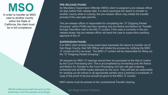## **MSO**

In order to transfer an MSO case to another county within the State of California, the client must be in full compliance.

**PRE-RELEASE PHASE:**

An Mandatory Supervision Offender (MSO) client is assigned a pre-release officer 30 days before their release date. If a client expresses the desire to transfer to another county while in custody, the pre-release officer may initiate the transfer process if the case plan permits.

If an MSO client already being supervised expresses the desire to transfer out of San Diego County, their MS Officer will initiate the process by notifying the MSO JT contact at HOJ via email. The MSO JT contact will be responsible for filling out the "JT Outgoing Packet Grouping".

The pre-release officer is responsible for completing the "JT Outgoing Packet Grouping" within PCMS and then sending only the Notice and Motion for Transfer through interoffice mail to the MS JT contact. If the case is currently in the prerelease phase, the pre-release officer will send the case to supervision pending approval of the JT.

#### **SUPERVISION PHASE:**

AB109 professional staff will send out the AB109 professional staff will send out the<br>preliminary and final packets accordingly.

All requests for MSO JT hearings should then be processed at the Hall of Justice by the Court Processing Unit. This is accomplished by forwarding only the Notice and Motion for Transfer to the Court Processing Unit who will get a hearing scheduled and all NAM copies stamped by the court. They will also be responsible for sending out all notices to all appropriate parties once a hearing is scheduled. A copy of the proof of service should be given to the MSO JT contact.

MSO clients must be present at the Jurisdictional Transfer hearing.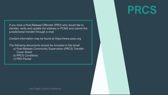

If you have a Post-Release Offender (PRO) who would like to transfer, verify and update the address in PCMS and submit the jurisdictional transfer through e-mail.

Contact information may be found at https://www.cpoc.org.

The following documents should be included in the email: a) Post-Release Community Supervision (PRCS) Transfer Cover Sheet b) PRCS Conditions

c) PRO Packet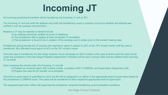## **Incoming JT**

All incoming jurisdictional transfers will be handled by the Incoming JT unit at JPC.

The Incoming JT unit will verify the address and notify the transferring county's superior court as to whether the address was verified or not via a judicial comment form.

Reasons a JT may be rejected or denied include:

- a) An address cannot be verified via proof of residence
- b) The probationer fails to appear at their scheduled JT orientation
- c) The probationer is found to be in violation of the sending court's orders prior to the transfer hearing date.

Probationers going through the JT process are required to report in person to JPC on the 10<sup>th</sup> of each month until the case is transferred. Sex offenders must report to HOJ on the 10<sup>th</sup> of each month.

Once the case is transferred, the San Diego Superior Court will assign an SCD number to the case at which point the case moves under the jurisdiction of the San Diego Probation Department. Probation will be sent a minute order and be notified of the incoming JT via email.

Upon receiving the minute order, the Incoming JT unit will:

a) Prepare an ex-parte report with custody credits, complete a NOLT COMPAS, and Supervision Assignment (A9).

b) Prepare the case file for transfer once activated.

Once the ex-parte report is submitted to court, the file will be assigned to an officer in the appropriate level of supervision based on the probationer's COMPAS score. The cases will be transferred to their respective appropriate level of supervision.

The assigned supervision officer will supervise the probationer using the transferring court's probation conditions.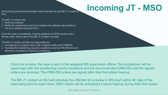

HOJ.

The MS JT contact will:

- 1. Verify the address.
- 2. Notify the transferring court as to whether the address was verified or not via a Judicial Comment Form.

Once the case is transferred, it will be assigned an SCD number and a minute order will be sent to the MS JT contact via email.

The MS JT contact will then be responsible for:

- 1. Completing an ex-parte report with custody credits and COMPAS.
- 2. Translate the transferring county's conditions onto the CR-255 forms (A hearing is mandatory to add any conditions).

Once this is done, the case is sent to the assigned MS supervision officer. The probationer will be supervised with the transferring court's conditions and the recommended CRM-255 until the signed orders are received. The CRM-255 orders are signed after their first status hearing.

The MS JT contact at HOJ will schedule the offender for a review in MS court within 90 days of the case being sent to supervision. MSO clients will be scheduled a future hearing during their first review.

## All incoming jurisdictional transfers will be handled by the MS JT contact at **Incoming JT - MSO**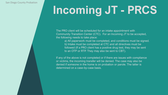## **Incoming JT - PRCS**

The PRO client will be scheduled for an intake appointment with Community Transition Center (CTC). For an Incoming JT to be accepted, the following needs to take place:

a) All paperwork must be completed, and conditions must be signed. followed (If a PRO client has a positive drug test, they may be sent

If any of the above is not completed or if there are issues with compliance or victims, the incoming transfer will be denied. The case may also be denied if someone in the home is on probation or parole. The latter is determined on a case-by-case basis.

- 
- b) Intake must be completed at CTC and all directives must be to an OTP or RTP. They may also be sent to CBT).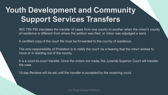## **Youth Development and Community Support Services Transfers**

WIC 750-755 mandates the transfer of cases from one county to another when the minor's county of residence is different from where the petition was filed, or minor was adjudged a ward.

A certified copy of the court file must be forwarded to the county of residence.

The only responsibility of Probation is to notify the court via a hearing that the minor wishes to move or is residing out of the county.

It is a court-to-court transfer. Once the orders are made, the Juvenile Superior Court will transfer the case.

15-day Reviews will be set until the transfer is accepted by the receiving court.

- 
- 
- 
- 
-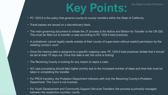## **Key Points:**

- PC 1203.9 is the policy that governs county-to-county transfers within the State of California.
- Travel passes are issued on a discretionary basis.
- The main governing document to initiate the JT process is the Notice and Motion for Transfer or the CR-250. This must be filled out to transfer a case according to PC 1203.9 best practices.
- A probationer cannot legally reside outside of their county of supervision without explicit permission by the residing county's court.
- Once the hearing date is assigned to a specific outgoing case, PC 1203.9 best practices dictate that it should be set at least 70 days out. Once this date is set, the clock is ticking!
- The Receiving County is looking for any reason to reject a case.
- SO case processing should take higher priority due to the increased number of steps and time that must be taken in completing the transfer.
- For PRCS transfers, the Probation Department interacts with only the Receiving County's Probation Department. The Court is not involved.
- For Youth Development and Community Support Services Transfers, the process is primarily managed between the respective counties' courts.